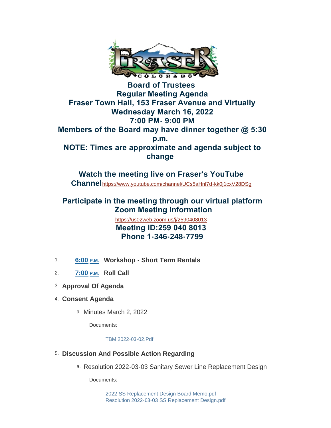

**Board of Trustees Regular Meeting Agenda Fraser Town Hall, 153 Fraser Avenue and Virtually Wednesday March 16, 2022 7:00 PM- 9:00 PM Members of the Board may have dinner together @ 5:30 p.m. NOTE: Times are approximate and agenda subject to change** 

**Watch the meeting live on Fraser's YouTube Channel**<https://www.youtube.com/channel/UCs5aHnl7d-kk0j1cxV28DSg>

# **Participate in the meeting through our virtual platform Zoom Meeting Information**

<https://us02web.zoom.us/j/2590408013>  **Meeting ID:259 040 8013 Phone 1-346-248-7799**

- 1. 6:00 **P.M.** Workshop Short Term Rentals
- **Roll Call** 2. **7:00 P.M.**
- **Approval Of Agenda** 3.
- **Consent Agenda** 4.
	- a. Minutes March 2, 2022

Documents:

[TBM 2022-03-02.Pdf](https://www.frasercolorado.com/AgendaCenter/ViewFile/Item/3897?fileID=3489)

- **Discussion And Possible Action Regarding** 5.
	- a. Resolution 2022-03-03 Sanitary Sewer Line Replacement Design

Documents:

[2022 SS Replacement Design Board Memo.pdf](https://www.frasercolorado.com/AgendaCenter/ViewFile/Item/3898?fileID=3492) [Resolution 2022-03-03 SS Replacement Design.pdf](https://www.frasercolorado.com/AgendaCenter/ViewFile/Item/3898?fileID=3491)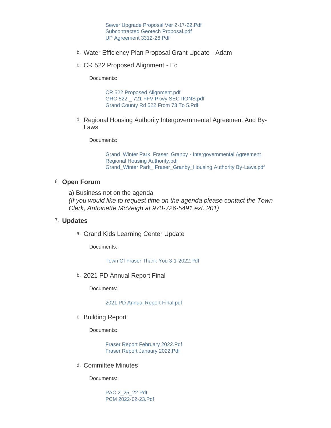[Sewer Upgrade Proposal Ver 2-17-22.Pdf](https://www.frasercolorado.com/AgendaCenter/ViewFile/Item/3898?fileID=3493) [Subcontracted Geotech Proposal.pdf](https://www.frasercolorado.com/AgendaCenter/ViewFile/Item/3898?fileID=3494) [UP Agreement 3312-26.Pdf](https://www.frasercolorado.com/AgendaCenter/ViewFile/Item/3898?fileID=3495)

- b. Water Efficiency Plan Proposal Grant Update Adam
- c. CR 522 Proposed Alignment Ed

Documents:

[CR 522 Proposed Alignment.pdf](https://www.frasercolorado.com/AgendaCenter/ViewFile/Item/3883?fileID=3484) [GRC 522 \\_ 721 FFV Pkwy SECTIONS.pdf](https://www.frasercolorado.com/AgendaCenter/ViewFile/Item/3883?fileID=3486) [Grand County Rd 522 From 73 To 5.Pdf](https://www.frasercolorado.com/AgendaCenter/ViewFile/Item/3883?fileID=3485)

d. Regional Housing Authority Intergovernmental Agreement And By-Laws

Documents:

[Grand\\_Winter Park\\_Fraser\\_Granby - Intergovernmental Agreement](https://www.frasercolorado.com/AgendaCenter/ViewFile/Item/3903?fileID=3502)  Regional Housing Authority.pdf [Grand\\_Winter Park\\_ Fraser\\_Granby\\_Housing Authority By-Laws.pdf](https://www.frasercolorado.com/AgendaCenter/ViewFile/Item/3903?fileID=3501)

#### 6. Open Forum

a) Business not on the agenda *(If you would like to request time on the agenda please contact the Town Clerk, Antoinette McVeigh at 970-726-5491 ext. 201)*

#### **Updates** 7.

a. Grand Kids Learning Center Update

Documents:

[Town Of Fraser Thank You 3-1-2022.Pdf](https://www.frasercolorado.com/AgendaCenter/ViewFile/Item/3894?fileID=3488)

2021 PD Annual Report Final b.

Documents:

[2021 PD Annual Report Final.pdf](https://www.frasercolorado.com/AgendaCenter/ViewFile/Item/3882?fileID=3483)

c. Building Report

Documents:

[Fraser Report February 2022.Pdf](https://www.frasercolorado.com/AgendaCenter/ViewFile/Item/3899?fileID=3496) [Fraser Report Janaury 2022.Pdf](https://www.frasercolorado.com/AgendaCenter/ViewFile/Item/3899?fileID=3497)

d. Committee Minutes

Documents:

[PAC 2\\_25\\_22.Pdf](https://www.frasercolorado.com/AgendaCenter/ViewFile/Item/3893?fileID=3487) [PCM 2022-02-23.Pdf](https://www.frasercolorado.com/AgendaCenter/ViewFile/Item/3893?fileID=3490)